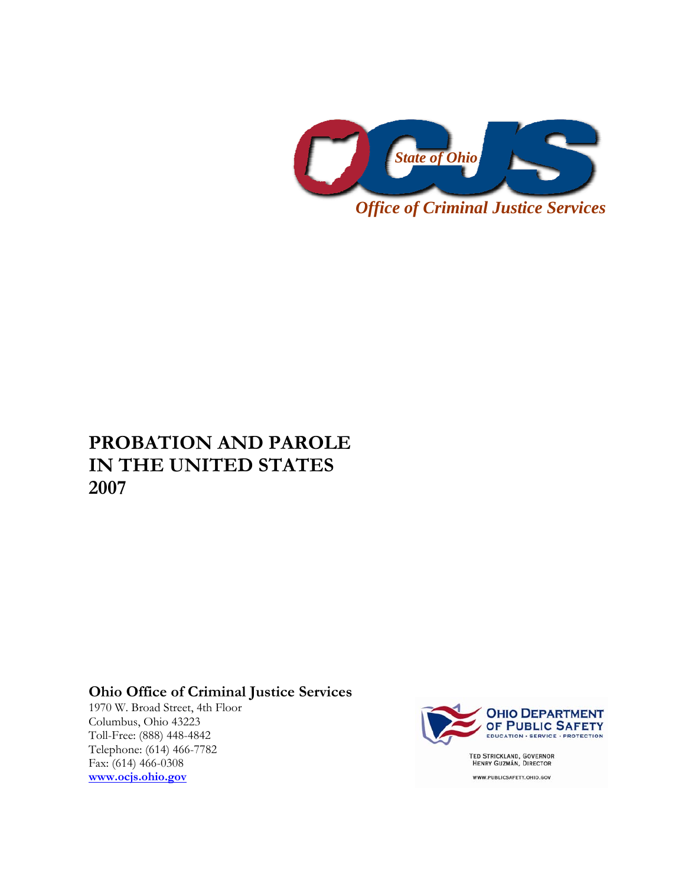

# **PROBATION AND PAROLE IN THE UNITED STATES 2007**

## **Ohio Office of Criminal Justice Services**

1970 W. Broad Street, 4th Floor Columbus, Ohio 43223 Toll-Free: (888) 448-4842 Telephone: (614) 466-7782 Fax: (614) 466-0308 **[www.ocjs.ohio.gov](http://www.ocjs.ohio.gov/)**



WWW.PUBLICSAFETY.OHIO.GOV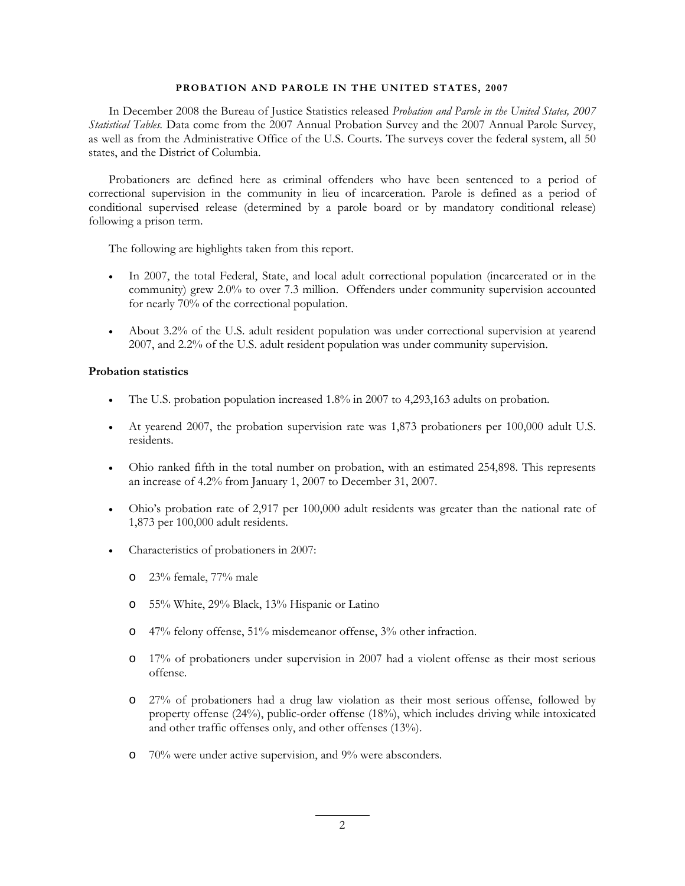#### **PROBATION AND PAROLE IN THE UNITED STATES, 2007**

In December 2008 the Bureau of Justice Statistics released *Probation and Parole in the United States, 2007 Statistical Tables.* Data come from the 2007 Annual Probation Survey and the 2007 Annual Parole Survey, as well as from the Administrative Office of the U.S. Courts. The surveys cover the federal system, all 50 states, and the District of Columbia.

Probationers are defined here as criminal offenders who have been sentenced to a period of correctional supervision in the community in lieu of incarceration. Parole is defined as a period of conditional supervised release (determined by a parole board or by mandatory conditional release) following a prison term.

The following are highlights taken from this report.

- In 2007, the total Federal, State, and local adult correctional population (incarcerated or in the community) grew 2.0% to over 7.3 million. Offenders under community supervision accounted for nearly 70% of the correctional population.
- About 3.2% of the U.S. adult resident population was under correctional supervision at yearend 2007, and 2.2% of the U.S. adult resident population was under community supervision.

#### **Probation statistics**

- The U.S. probation population increased 1.8% in 2007 to 4,293,163 adults on probation.
- At yearend 2007, the probation supervision rate was 1,873 probationers per 100,000 adult U.S. residents.
- Ohio ranked fifth in the total number on probation, with an estimated 254,898. This represents an increase of 4.2% from January 1, 2007 to December 31, 2007.
- Ohio's probation rate of 2,917 per 100,000 adult residents was greater than the national rate of 1,873 per 100,000 adult residents.
- Characteristics of probationers in 2007:
	- o 23% female, 77% male
	- o 55% White, 29% Black, 13% Hispanic or Latino
	- o 47% felony offense, 51% misdemeanor offense, 3% other infraction.
	- o 17% of probationers under supervision in 2007 had a violent offense as their most serious offense.
	- o 27% of probationers had a drug law violation as their most serious offense, followed by property offense (24%), public-order offense (18%), which includes driving while intoxicated and other traffic offenses only, and other offenses (13%).
	- o 70% were under active supervision, and 9% were absconders.